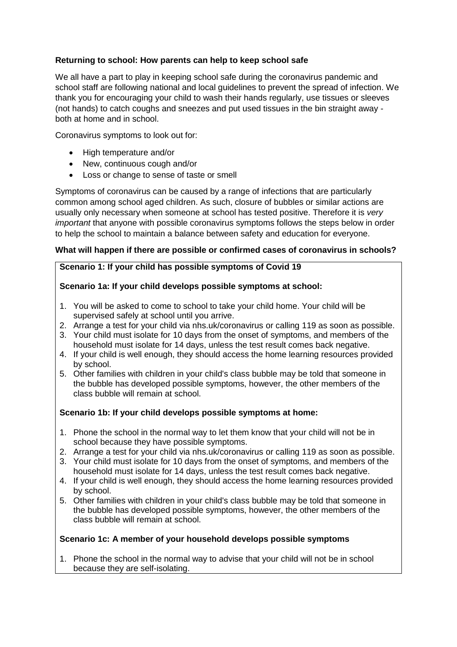# **Returning to school: How parents can help to keep school safe**

We all have a part to play in keeping school safe during the coronavirus pandemic and school staff are following national and local guidelines to prevent the spread of infection. We thank you for encouraging your child to wash their hands regularly, use tissues or sleeves (not hands) to catch coughs and sneezes and put used tissues in the bin straight away both at home and in school.

Coronavirus symptoms to look out for:

- High temperature and/or
- New, continuous cough and/or
- Loss or change to sense of taste or smell

Symptoms of coronavirus can be caused by a range of infections that are particularly common among school aged children. As such, closure of bubbles or similar actions are usually only necessary when someone at school has tested positive. Therefore it is *very important* that anyone with possible coronavirus symptoms follows the steps below in order to help the school to maintain a balance between safety and education for everyone.

# **What will happen if there are possible or confirmed cases of coronavirus in schools?**

# **Scenario 1: If your child has possible symptoms of Covid 19**

# **Scenario 1a: If your child develops possible symptoms at school:**

- 1. You will be asked to come to school to take your child home. Your child will be supervised safely at school until you arrive.
- 2. Arrange a test for your child via nhs.uk/coronavirus or calling 119 as soon as possible.
- 3. Your child must isolate for 10 days from the onset of symptoms, and members of the household must isolate for 14 days, unless the test result comes back negative.
- 4. If your child is well enough, they should access the home learning resources provided by school.
- 5. Other families with children in your child's class bubble may be told that someone in the bubble has developed possible symptoms, however, the other members of the class bubble will remain at school.

# **Scenario 1b: If your child develops possible symptoms at home:**

- 1. Phone the school in the normal way to let them know that your child will not be in school because they have possible symptoms.
- 2. Arrange a test for your child via nhs.uk/coronavirus or calling 119 as soon as possible.
- 3. Your child must isolate for 10 days from the onset of symptoms, and members of the household must isolate for 14 days, unless the test result comes back negative.
- 4. If your child is well enough, they should access the home learning resources provided by school.
- 5. Other families with children in your child's class bubble may be told that someone in the bubble has developed possible symptoms, however, the other members of the class bubble will remain at school.

#### **Scenario 1c: A member of your household develops possible symptoms**

1. Phone the school in the normal way to advise that your child will not be in school because they are self-isolating.